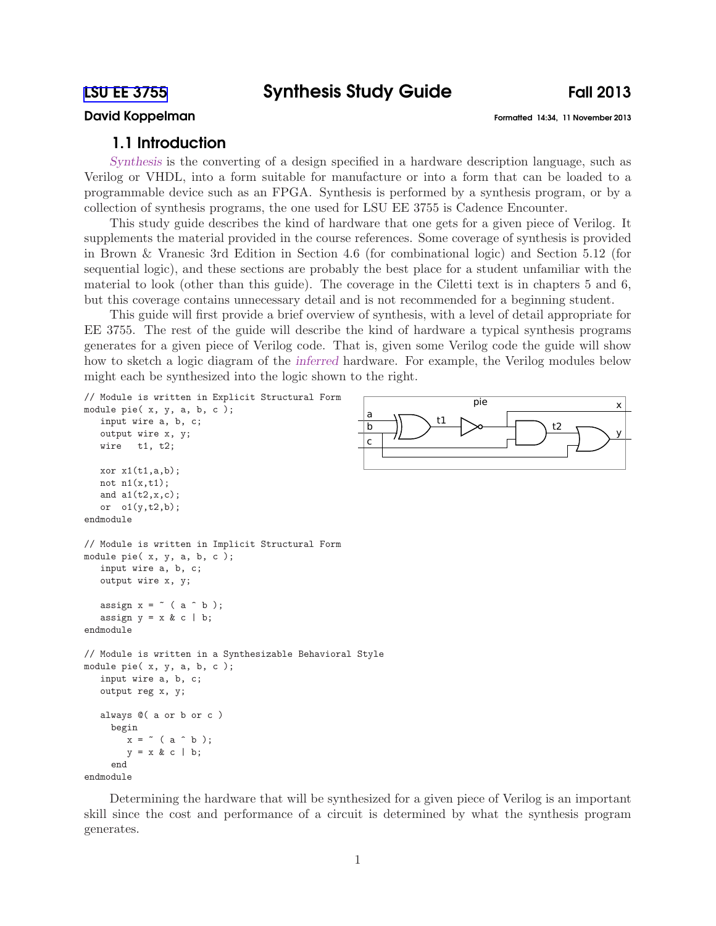# David Koppelman Formatted 14:34, 11 November 2013

# 1.1 Introduction

Synthesis is the converting of a design specified in a hardware description language, such as Verilog or VHDL, into a form suitable for manufacture or into a form that can be loaded to a programmable device such as an FPGA. Synthesis is performed by a synthesis program, or by a collection of synthesis programs, the one used for LSU EE 3755 is Cadence Encounter.

This study guide describes the kind of hardware that one gets for a given piece of Verilog. It supplements the material provided in the course references. Some coverage of synthesis is provided in Brown & Vranesic 3rd Edition in Section 4.6 (for combinational logic) and Section 5.12 (for sequential logic), and these sections are probably the best place for a student unfamiliar with the material to look (other than this guide). The coverage in the Ciletti text is in chapters 5 and 6, but this coverage contains unnecessary detail and is not recommended for a beginning student.

This guide will first provide a brief overview of synthesis, with a level of detail appropriate for EE 3755. The rest of the guide will describe the kind of hardware a typical synthesis programs generates for a given piece of Verilog code. That is, given some Verilog code the guide will show how to sketch a logic diagram of the inferred hardware. For example, the Verilog modules below might each be synthesized into the logic shown to the right.

```
a
                                                   b
                                                    c
                                                                                                  x
                                                                                                  y
                                                                 t1 > 1// Module is written in Explicit Structural Form
module pie( x, y, a, b, c );
  input wire a, b, c;
  output wire x, y;
  wire t1, t2;
  xor x1(t1,a,b);not n1(x,t1);and a1(t2,x,c);
  or o1(y,t2,b);
endmodule
// Module is written in Implicit Structural Form
module pie( x, y, a, b, c );
  input wire a, b, c;
  output wire x, y;
  assign x = \tilde{ } (a \hat{ } b);
  assign y = x & c \mid b;endmodule
// Module is written in a Synthesizable Behavioral Style
module pie( x, y, a, b, c );
  input wire a, b, c;
  output reg x, y;
  always @( a or b or c )
    begin
       x = \infty ( a \cap b );
       y = x & c \mid b;end
```
endmodule

Determining the hardware that will be synthesized for a given piece of Verilog is an important skill since the cost and performance of a circuit is determined by what the synthesis program generates.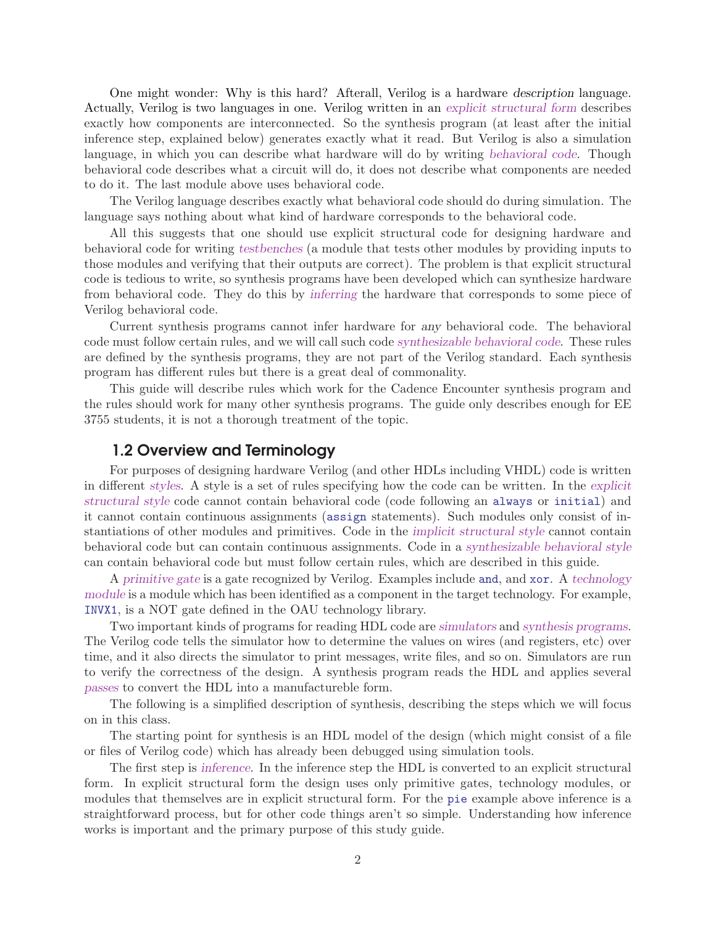One might wonder: Why is this hard? Afterall, Verilog is a hardware description language. Actually, Verilog is two languages in one. Verilog written in an explicit structural form describes exactly how components are interconnected. So the synthesis program (at least after the initial inference step, explained below) generates exactly what it read. But Verilog is also a simulation language, in which you can describe what hardware will do by writing behavioral code. Though behavioral code describes what a circuit will do, it does not describe what components are needed to do it. The last module above uses behavioral code.

The Verilog language describes exactly what behavioral code should do during simulation. The language says nothing about what kind of hardware corresponds to the behavioral code.

All this suggests that one should use explicit structural code for designing hardware and behavioral code for writing testbenches (a module that tests other modules by providing inputs to those modules and verifying that their outputs are correct). The problem is that explicit structural code is tedious to write, so synthesis programs have been developed which can synthesize hardware from behavioral code. They do this by inferring the hardware that corresponds to some piece of Verilog behavioral code.

Current synthesis programs cannot infer hardware for any behavioral code. The behavioral code must follow certain rules, and we will call such code synthesizable behavioral code. These rules are defined by the synthesis programs, they are not part of the Verilog standard. Each synthesis program has different rules but there is a great deal of commonality.

This guide will describe rules which work for the Cadence Encounter synthesis program and the rules should work for many other synthesis programs. The guide only describes enough for EE 3755 students, it is not a thorough treatment of the topic.

## 1.2 Overview and Terminology

For purposes of designing hardware Verilog (and other HDLs including VHDL) code is written in different styles. A style is a set of rules specifying how the code can be written. In the explicit structural style code cannot contain behavioral code (code following an always or initial) and it cannot contain continuous assignments (assign statements). Such modules only consist of instantiations of other modules and primitives. Code in the implicit structural style cannot contain behavioral code but can contain continuous assignments. Code in a synthesizable behavioral style can contain behavioral code but must follow certain rules, which are described in this guide.

A primitive gate is a gate recognized by Verilog. Examples include and, and xor. A technology module is a module which has been identified as a component in the target technology. For example, INVX1, is a NOT gate defined in the OAU technology library.

Two important kinds of programs for reading HDL code are simulators and synthesis programs. The Verilog code tells the simulator how to determine the values on wires (and registers, etc) over time, and it also directs the simulator to print messages, write files, and so on. Simulators are run to verify the correctness of the design. A synthesis program reads the HDL and applies several passes to convert the HDL into a manufactureble form.

The following is a simplified description of synthesis, describing the steps which we will focus on in this class.

The starting point for synthesis is an HDL model of the design (which might consist of a file or files of Verilog code) which has already been debugged using simulation tools.

The first step is inference. In the inference step the HDL is converted to an explicit structural form. In explicit structural form the design uses only primitive gates, technology modules, or modules that themselves are in explicit structural form. For the pie example above inference is a straightforward process, but for other code things aren't so simple. Understanding how inference works is important and the primary purpose of this study guide.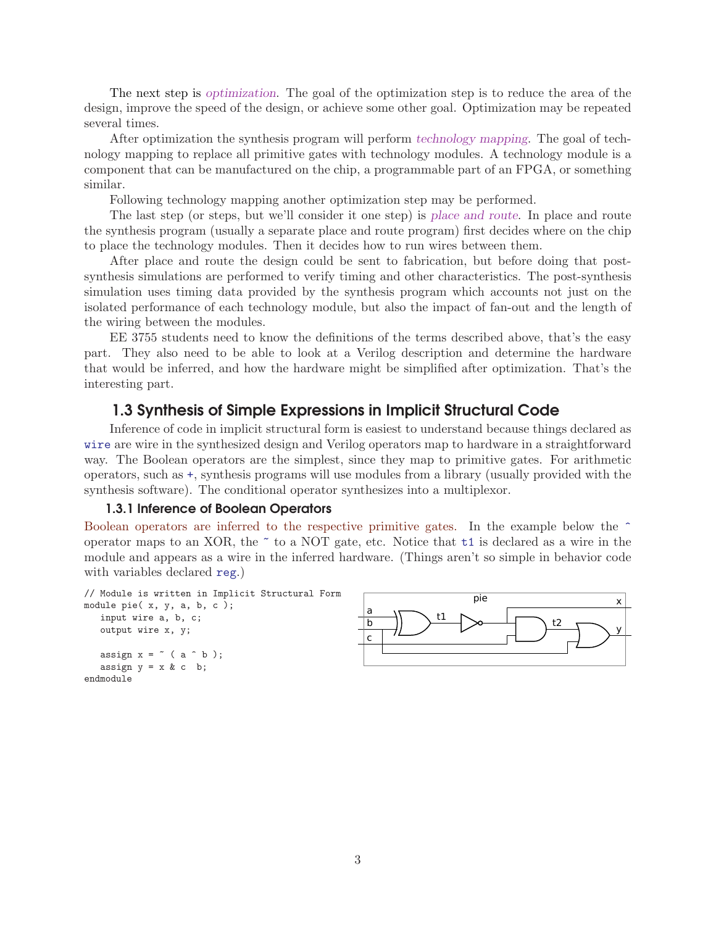The next step is optimization. The goal of the optimization step is to reduce the area of the design, improve the speed of the design, or achieve some other goal. Optimization may be repeated several times.

After optimization the synthesis program will perform technology mapping. The goal of technology mapping to replace all primitive gates with technology modules. A technology module is a component that can be manufactured on the chip, a programmable part of an FPGA, or something similar.

Following technology mapping another optimization step may be performed.

The last step (or steps, but we'll consider it one step) is place and route. In place and route the synthesis program (usually a separate place and route program) first decides where on the chip to place the technology modules. Then it decides how to run wires between them.

After place and route the design could be sent to fabrication, but before doing that postsynthesis simulations are performed to verify timing and other characteristics. The post-synthesis simulation uses timing data provided by the synthesis program which accounts not just on the isolated performance of each technology module, but also the impact of fan-out and the length of the wiring between the modules.

EE 3755 students need to know the definitions of the terms described above, that's the easy part. They also need to be able to look at a Verilog description and determine the hardware that would be inferred, and how the hardware might be simplified after optimization. That's the interesting part.

# 1.3 Synthesis of Simple Expressions in Implicit Structural Code

Inference of code in implicit structural form is easiest to understand because things declared as wire are wire in the synthesized design and Verilog operators map to hardware in a straightforward way. The Boolean operators are the simplest, since they map to primitive gates. For arithmetic operators, such as +, synthesis programs will use modules from a library (usually provided with the synthesis software). The conditional operator synthesizes into a multiplexor.

#### 1.3.1 Inference of Boolean Operators

Boolean operators are inferred to the respective primitive gates. In the example below the  $\hat{ }$ operator maps to an XOR, the  $\tilde{\phantom{a}}$  to a NOT gate, etc. Notice that  $\tilde{\phantom{a}}$  to is declared as a wire in the module and appears as a wire in the inferred hardware. (Things aren't so simple in behavior code with variables declared reg.)

```
// Module is written in Implicit Structural Form [1994]
module pie( x, y, a, b, c );
  input wire a, b, c;
  output wire x, y;
  assign x = \tilde{ } (a \hat{ } b);
  assign y = x \& c \; b;
endmodule
```
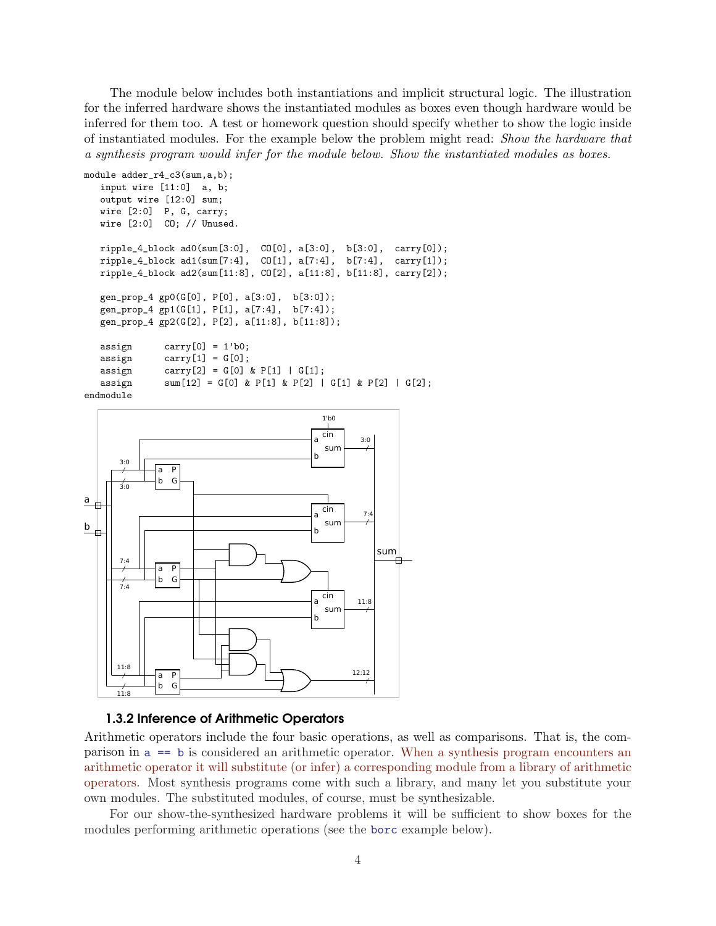The module below includes both instantiations and implicit structural logic. The illustration for the inferred hardware shows the instantiated modules as boxes even though hardware would be inferred for them too. A test or homework question should specify whether to show the logic inside of instantiated modules. For the example below the problem might read: Show the hardware that a synthesis program would infer for the module below. Show the instantiated modules as boxes.

```
module adder_r4_c3(sum,a,b);
  input wire [11:0] a, b;
  output wire [12:0] sum;
  wire [2:0] P, G, carry;
  wire [2:0] CO; // Unused.
  ripple_4_block ad0(sum[3:0], CO[0], a[3:0], b[3:0], carry[0]);
  ripple_4_block ad1(sum[7:4], CO[1], a[7:4], b[7:4], carry[1]);
  ripple_4_block ad2(sum[11:8], CO[2], a[11:8], b[11:8], carry[2]);
  gen_prop_4 gp0(G[0], P[0], a[3:0], b[3:0]);
  gen_prop_4 gp1(G[1], P[1], a[7:4], b[7:4]);
  gen_prop_4 gp2(G[2], P[2], a[11:8], b[11:8]);
  assign carry[0] = 1'b0;assign carry[1] = G[0];assign carry[2] = G[0] & P[1] | G[1];assign sum[12] = G[0] & P[1] & P[2] | G[1] & P[2] | G[2];
```






Arithmetic operators include the four basic operations, as well as comparisons. That is, the comparison in a == b is considered an arithmetic operator. When a synthesis program encounters an arithmetic operator it will substitute (or infer) a corresponding module from a library of arithmetic operators. Most synthesis programs come with such a library, and many let you substitute your own modules. The substituted modules, of course, must be synthesizable.

For our show-the-synthesized hardware problems it will be sufficient to show boxes for the modules performing arithmetic operations (see the borc example below).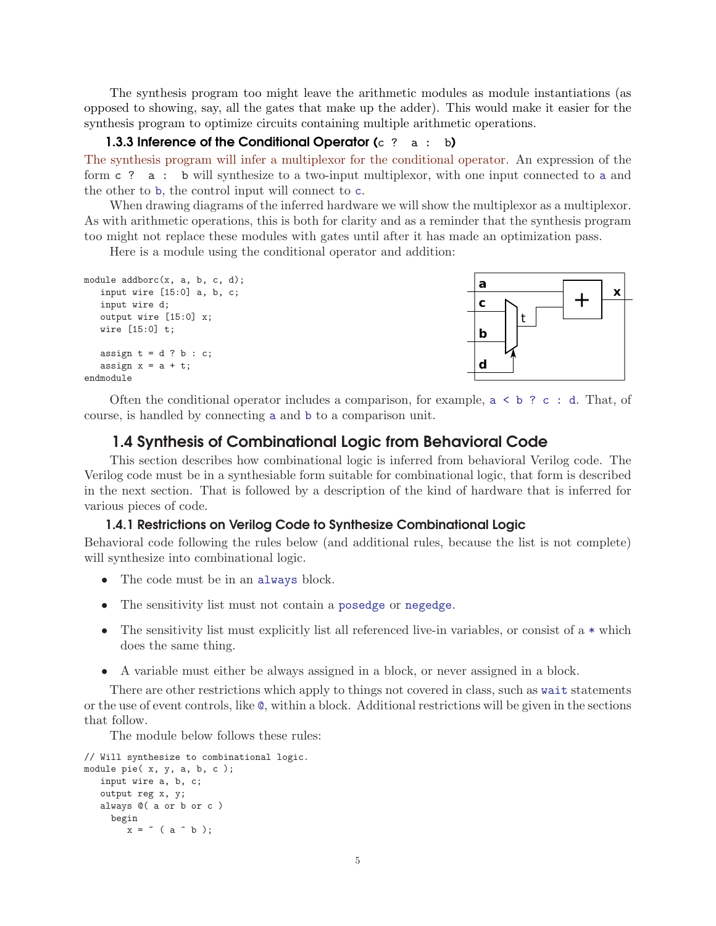The synthesis program too might leave the arithmetic modules as module instantiations (as opposed to showing, say, all the gates that make up the adder). This would make it easier for the synthesis program to optimize circuits containing multiple arithmetic operations.

### 1.3.3 Inference of the Conditional Operator  $(c \t2 a : b)$

The synthesis program will infer a multiplexor for the conditional operator. An expression of the form c ? a : b will synthesize to a two-input multiplexor, with one input connected to a and the other to b, the control input will connect to c.

When drawing diagrams of the inferred hardware we will show the multiplexor as a multiplexor. As with arithmetic operations, this is both for clarity and as a reminder that the synthesis program too might not replace these modules with gates until after it has made an optimization pass.

Here is a module using the conditional operator and addition:

```
module addborc(x, a, b, c, d);
   input wire [15:0] a, b, c;
   input wire d;
   output wire [15:0] x;
   wire [15:0] t;
   assign t = d ? b : c;
   assign x = a + t;
endmodule
```


Often the conditional operator includes a comparison, for example,  $a \leq b$  ? c : d. That, of course, is handled by connecting a and b to a comparison unit.

## 1.4 Synthesis of Combinational Logic from Behavioral Code

This section describes how combinational logic is inferred from behavioral Verilog code. The Verilog code must be in a synthesiable form suitable for combinational logic, that form is described in the next section. That is followed by a description of the kind of hardware that is inferred for various pieces of code.

#### 1.4.1 Restrictions on Verilog Code to Synthesize Combinational Logic

Behavioral code following the rules below (and additional rules, because the list is not complete) will synthesize into combinational logic.

- The code must be in an always block.
- The sensitivity list must not contain a posedge or negedge.
- The sensitivity list must explicitly list all referenced live-in variables, or consist of a  $*$  which does the same thing.
- A variable must either be always assigned in a block, or never assigned in a block.

There are other restrictions which apply to things not covered in class, such as wait statements or the use of event controls, like @, within a block. Additional restrictions will be given in the sections that follow.

The module below follows these rules:

```
// Will synthesize to combinational logic.
module pie( x, y, a, b, c );
   input wire a, b, c;
   output reg x, y;
   always @( a or b or c )
     begin
        x =  ( a   b  );
```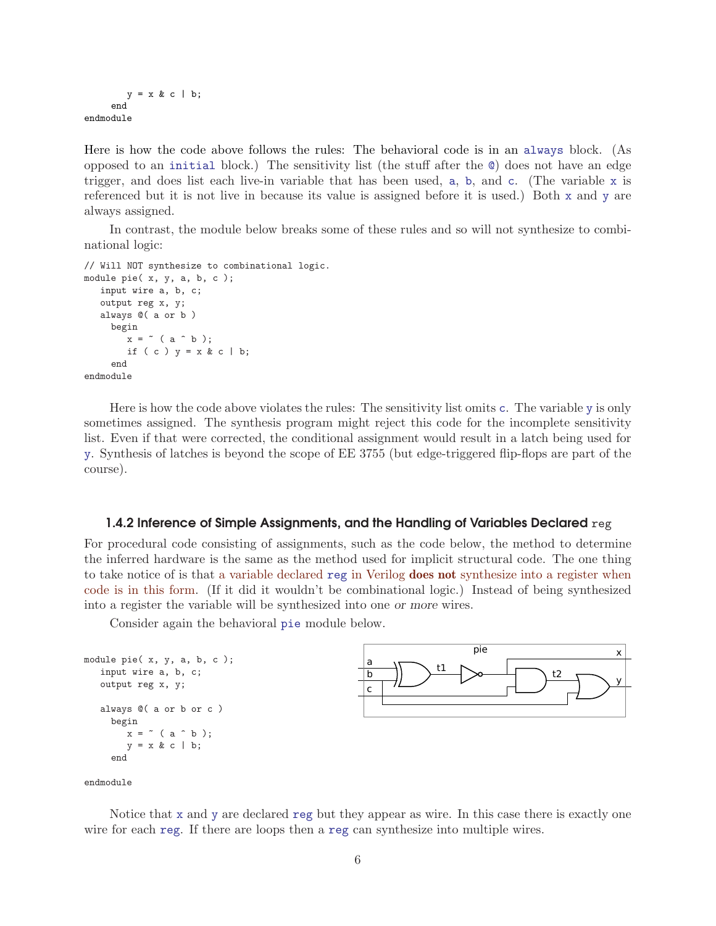```
y = x & c \mid b;end
endmodule
```
Here is how the code above follows the rules: The behavioral code is in an always block. (As opposed to an initial block.) The sensitivity list (the stuff after the @) does not have an edge trigger, and does list each live-in variable that has been used, a, b, and c. (The variable x is referenced but it is not live in because its value is assigned before it is used.) Both x and y are always assigned.

In contrast, the module below breaks some of these rules and so will not synthesize to combinational logic:

```
// Will NOT synthesize to combinational logic.
module pie( x, y, a, b, c );
   input wire a, b, c;
   output reg x, y;
   always @( a or b )
     begin
        x = \text{``} (a \text{ 'b)};
        if ( c ) y = x & c \mid b;
     end
endmodule
```
Here is how the code above violates the rules: The sensitivity list omits c. The variable y is only sometimes assigned. The synthesis program might reject this code for the incomplete sensitivity list. Even if that were corrected, the conditional assignment would result in a latch being used for y. Synthesis of latches is beyond the scope of EE 3755 (but edge-triggered flip-flops are part of the course).

#### 1.4.2 Inference of Simple Assignments, and the Handling of Variables Declared  $\text{reg}$

For procedural code consisting of assignments, such as the code below, the method to determine the inferred hardware is the same as the method used for implicit structural code. The one thing to take notice of is that a variable declared reg in Verilog does not synthesize into a register when code is in this form. (If it did it wouldn't be combinational logic.) Instead of being synthesized into a register the variable will be synthesized into one or more wires.

Consider again the behavioral pie module below.

```
a
                                                         b
                                                          c
                                                                                                             x
                                                                                                             y
                                                                        t1 \rightarrow t2pie
module pie( x, y, a, b, c );
   input wire a, b, c;
   output reg x, y;
   always @( a or b or c )
     begin
        x = \text{``} (a \text{ 'b)};
        y = x & c \mid b;end
```
endmodule

Notice that x and y are declared reg but they appear as wire. In this case there is exactly one wire for each reg. If there are loops then a reg can synthesize into multiple wires.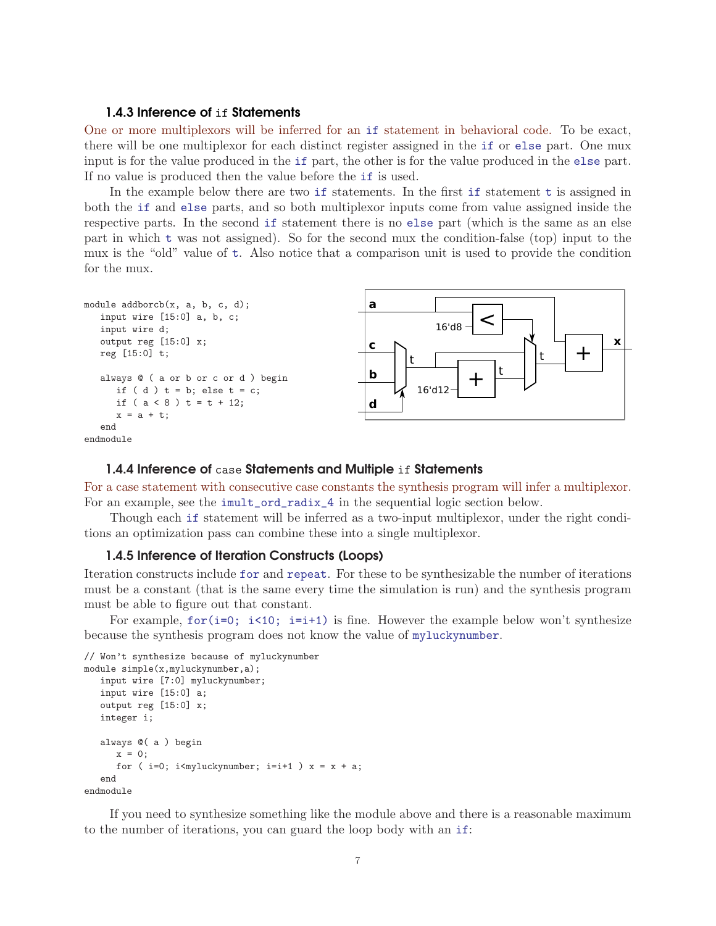## 1.4.3 Inference of if Statements

One or more multiplexors will be inferred for an if statement in behavioral code. To be exact, there will be one multiplexor for each distinct register assigned in the if or else part. One mux input is for the value produced in the if part, the other is for the value produced in the else part. If no value is produced then the value before the if is used.

In the example below there are two if statements. In the first if statement t is assigned in both the if and else parts, and so both multiplexor inputs come from value assigned inside the respective parts. In the second if statement there is no else part (which is the same as an else part in which t was not assigned). So for the second mux the condition-false (top) input to the mux is the "old" value of t. Also notice that a comparison unit is used to provide the condition for the mux.

```
module addborch(x, a, b, c, d);input wire [15:0] a, b, c;
  input wire d;
  output reg [15:0] x;
  reg [15:0] t;
  always @ ( a or b or c or d ) begin
     if (d) t = b; else t = c;
     if (a < 8) t = t + 12;
     x = a + t;end
endmodule
```


#### 1.4.4 Inference of case Statements and Multiple if Statements

For a case statement with consecutive case constants the synthesis program will infer a multiplexor. For an example, see the imult\_ord\_radix\_4 in the sequential logic section below.

Though each if statement will be inferred as a two-input multiplexor, under the right conditions an optimization pass can combine these into a single multiplexor.

#### 1.4.5 Inference of Iteration Constructs (Loops)

Iteration constructs include for and repeat. For these to be synthesizable the number of iterations must be a constant (that is the same every time the simulation is run) and the synthesis program must be able to figure out that constant.

For example,  $for(i=0; i\leq 10; i=i+1)$  is fine. However the example below won't synthesize because the synthesis program does not know the value of myluckynumber.

```
// Won't synthesize because of myluckynumber
module simple(x,myluckynumber,a);
   input wire [7:0] myluckynumber;
   input wire [15:0] a;
   output reg [15:0] x;
   integer i;
   always @( a ) begin
     x = 0;
      for ( i=0; i myluckynumber; i=i+1 ) x = x + a;
   end
endmodule
```
If you need to synthesize something like the module above and there is a reasonable maximum to the number of iterations, you can guard the loop body with an if: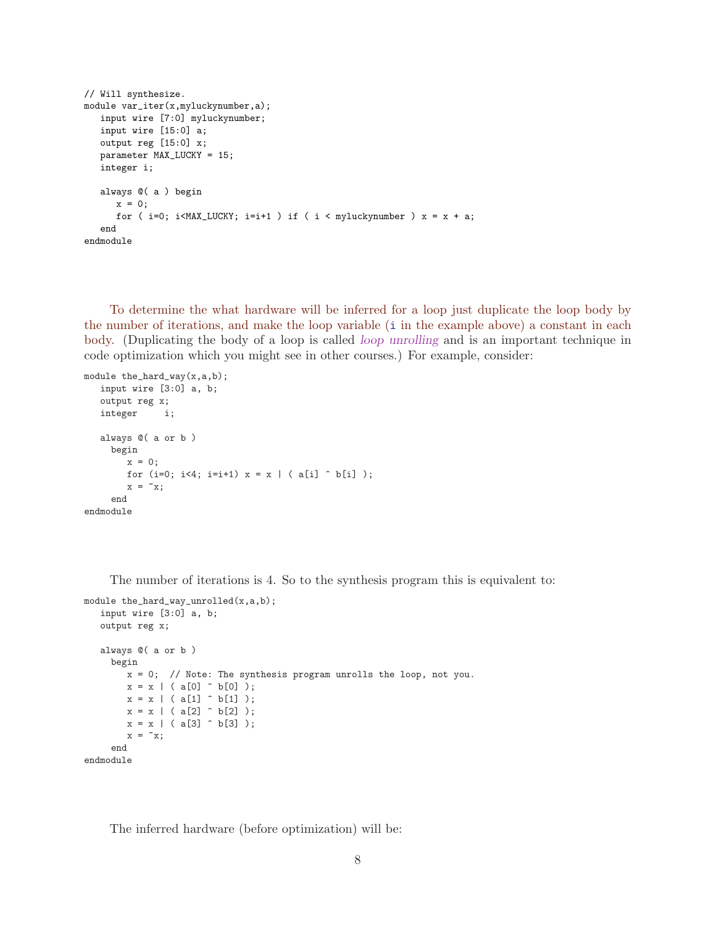```
// Will synthesize.
module var_iter(x,myluckynumber,a);
  input wire [7:0] myluckynumber;
  input wire [15:0] a;
  output reg [15:0] x;
  parameter MAX_LUCKY = 15;
  integer i;
  always @( a ) begin
     x = 0;for (i=0; i<MAX_LUCKY; i=i+1) if (i < myluckynumber) x = x + a;
  end
endmodule
```
To determine the what hardware will be inferred for a loop just duplicate the loop body by the number of iterations, and make the loop variable (i in the example above) a constant in each body. (Duplicating the body of a loop is called loop unrolling and is an important technique in code optimization which you might see in other courses.) For example, consider:

```
module the_hard_way(x,a,b);
   input wire [3:0] a, b;
   output reg x;
   integer i;
   always @( a or b )
     begin
        x = 0;for (i=0; i<4; i=i+1) x = x | ( a[i] \hat{b} b[i] );
        x = \tilde{x};
     end
endmodule
```
The number of iterations is 4. So to the synthesis program this is equivalent to:

```
module the_hard_way_unrolled(x,a,b);
   input wire [3:0] a, b;
   output reg x;
   always @( a or b )
     begin
        x = 0; // Note: The synthesis program unrolls the loop, not you.
        x = x \mid (a[0] \cap b[0]);
        x = x \mid (a[1] \cap b[1]);
        x = x \mid (a[2] \cap b[2]);
        x = x \mid (a[3] \cap b[3]);
        x = \alpha x;end
endmodule
```
The inferred hardware (before optimization) will be: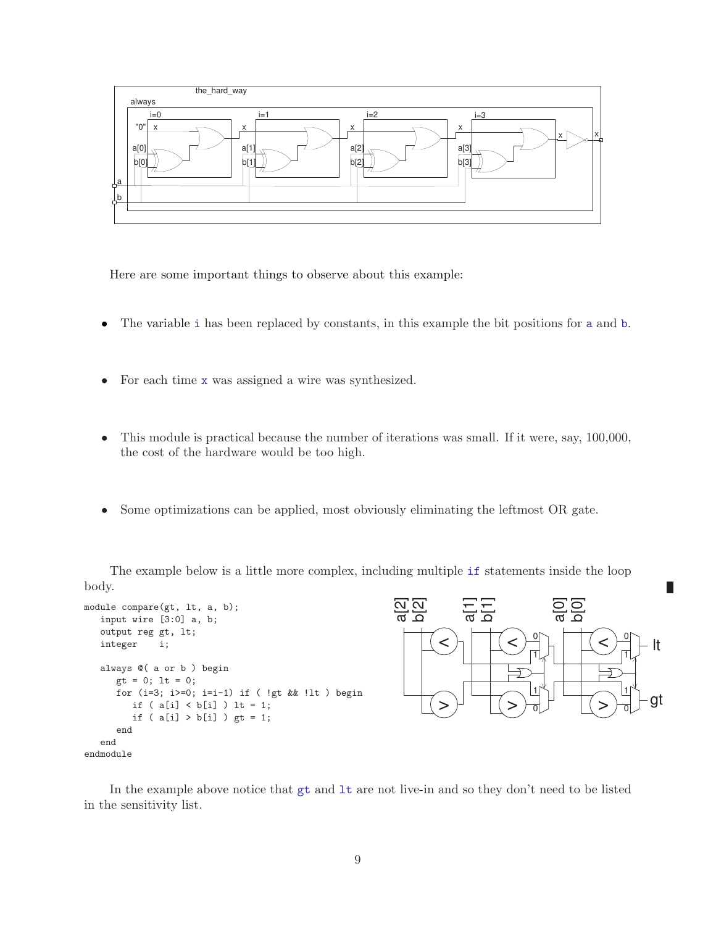

Here are some important things to observe about this example:

- The variable i has been replaced by constants, in this example the bit positions for a and b.
- For each time x was assigned a wire was synthesized.
- This module is practical because the number of iterations was small. If it were, say, 100,000, the cost of the hardware would be too high.
- Some optimizations can be applied, most obviously eliminating the leftmost OR gate.

The example below is a little more complex, including multiple if statements inside the loop body.

```
module compare(gt, lt, a, b);
  input wire [3:0] a, b;
  output reg gt, lt;
  integer i;
  always @( a or b ) begin
     gt = 0; lt = 0;
     for (i=3; i>=0; i=i-1) if ( !gt && !lt ) begin
        if (a[i] < b[i]) It = 1;if ( a[i] > b[i] ) gt = 1;
      end
  end
endmodule
```


П

In the example above notice that gt and lt are not live-in and so they don't need to be listed in the sensitivity list.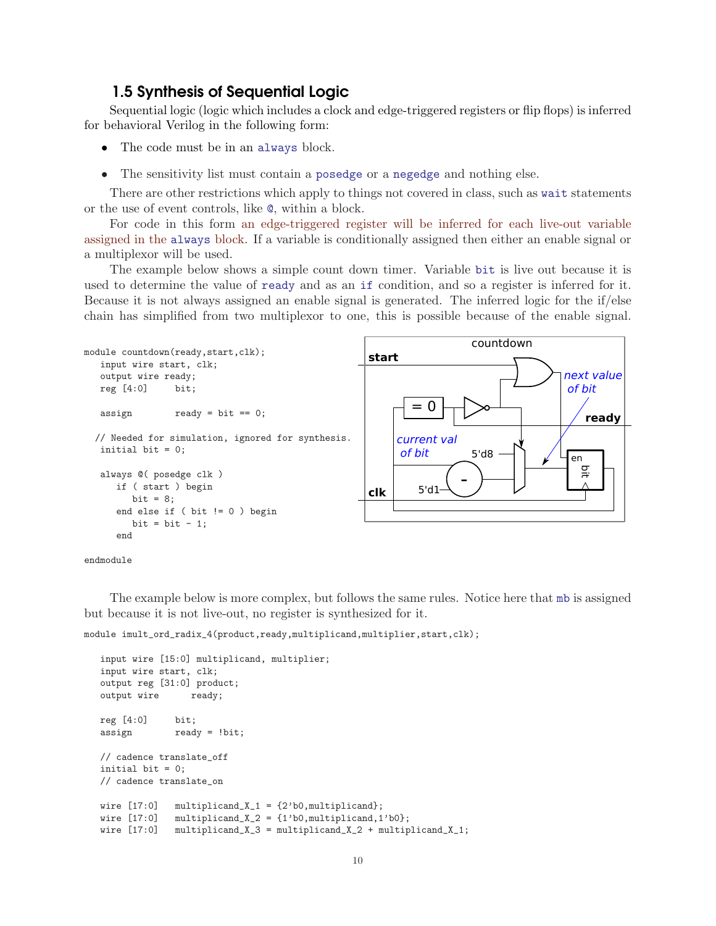# 1.5 Synthesis of Sequential Logic

Sequential logic (logic which includes a clock and edge-triggered registers or flip flops) is inferred for behavioral Verilog in the following form:

- The code must be in an always block.
- The sensitivity list must contain a posedge or a negedge and nothing else.

There are other restrictions which apply to things not covered in class, such as wait statements or the use of event controls, like @, within a block.

For code in this form an edge-triggered register will be inferred for each live-out variable assigned in the always block. If a variable is conditionally assigned then either an enable signal or a multiplexor will be used.

The example below shows a simple count down timer. Variable bit is live out because it is used to determine the value of ready and as an if condition, and so a register is inferred for it. Because it is not always assigned an enable signal is generated. The inferred logic for the if/else chain has simplified from two multiplexor to one, this is possible because of the enable signal.





The example below is more complex, but follows the same rules. Notice here that mb is assigned but because it is not live-out, no register is synthesized for it.

module imult\_ord\_radix\_4(product,ready,multiplicand,multiplier,start,clk);

```
input wire [15:0] multiplicand, multiplier;
input wire start, clk;
output reg [31:0] product;
output wire ready;
reg [4:0] bit;
assign ready = !bit;
// cadence translate_off
initial bit = 0;
// cadence translate_on
wire [17:0] multiplicand_X_1 = \{2'b0, multiplicand};
wire [17:0] multiplicand_X_2 = \{1'b0, \text{multiplied}, 1'b0\};wire [17:0] multiplicand_X_3 = multiplicand_X_2 + multiplicand_X_1;
```